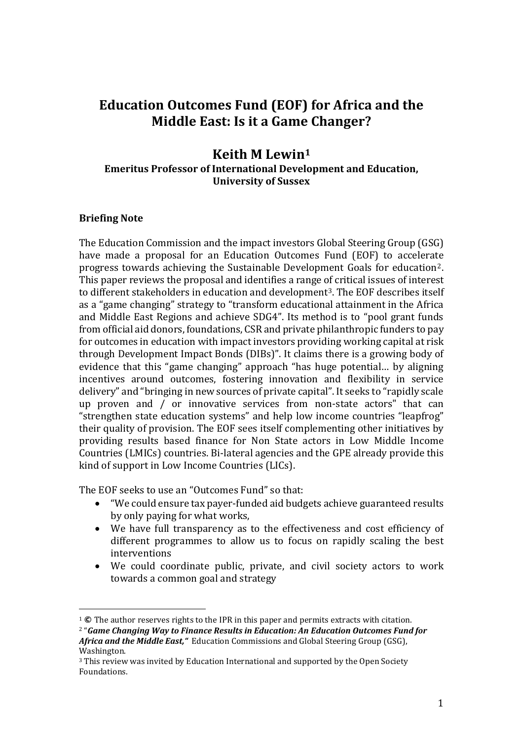# **Education Outcomes Fund (EOF) for Africa and the Middle East: Is it a Game Changer?**

## **Keith M Lewin<sup>1</sup> Emeritus Professor of International Development and Education, University of Sussex**

### **Briefing Note**

 $\overline{a}$ 

The Education Commission and the impact investors Global Steering Group (GSG) have made a proposal for an Education Outcomes Fund (EOF) to accelerate progress towards achieving the Sustainable Development Goals for education2. This paper reviews the proposal and identifies a range of critical issues of interest to different stakeholders in education and development<sup>3</sup>. The EOF describes itself as a "game changing" strategy to "transform educational attainment in the Africa and Middle East Regions and achieve SDG4". Its method is to "pool grant funds from official aid donors, foundations, CSR and private philanthropic funders to pay for outcomes in education with impact investors providing working capital at risk through Development Impact Bonds (DIBs)". It claims there is a growing body of evidence that this "game changing" approach "has huge potential… by aligning incentives around outcomes, fostering innovation and flexibility in service delivery" and "bringing in new sources of private capital". It seeks to "rapidly scale up proven and / or innovative services from non-state actors" that can "strengthen state education systems" and help low income countries "leapfrog" their quality of provision. The EOF sees itself complementing other initiatives by providing results based finance for Non State actors in Low Middle Income Countries (LMICs) countries. Bi-lateral agencies and the GPE already provide this kind of support in Low Income Countries (LICs).

The EOF seeks to use an "Outcomes Fund" so that:

- "We could ensure tax payer-funded aid budgets achieve guaranteed results by only paying for what works,
- We have full transparency as to the effectiveness and cost efficiency of different programmes to allow us to focus on rapidly scaling the best interventions
- We could coordinate public, private, and civil society actors to work towards a common goal and strategy

<sup>1</sup> **©** The author reserves rights to the IPR in this paper and permits extracts with citation.

<sup>2</sup> "*Game Changing Way to Finance Results in Education: An Education Outcomes Fund for Africa and the Middle East,"* Education Commissions and Global Steering Group (GSG), Washington.

<sup>3</sup> This review was invited by Education International and supported by the Open Society Foundations.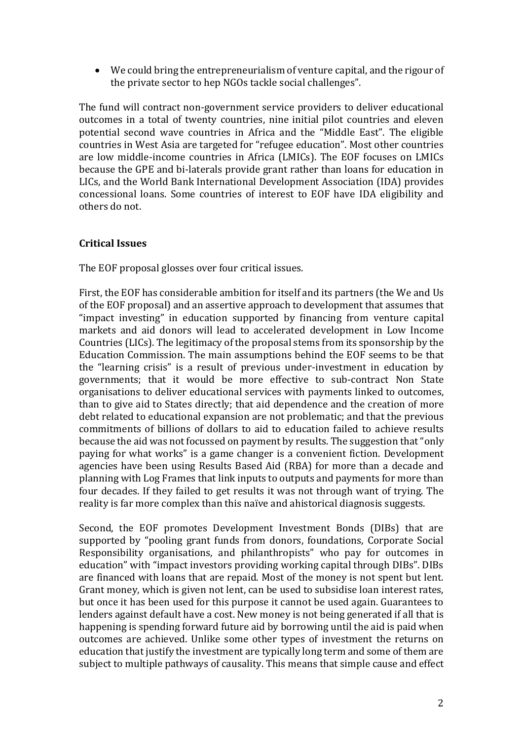• We could bring the entrepreneurialism of venture capital, and the rigour of the private sector to hep NGOs tackle social challenges".

The fund will contract non-government service providers to deliver educational outcomes in a total of twenty countries, nine initial pilot countries and eleven potential second wave countries in Africa and the "Middle East". The eligible countries in West Asia are targeted for "refugee education". Most other countries are low middle-income countries in Africa (LMICs). The EOF focuses on LMICs because the GPE and bi-laterals provide grant rather than loans for education in LICs, and the World Bank International Development Association (IDA) provides concessional loans. Some countries of interest to EOF have IDA eligibility and others do not.

### **Critical Issues**

The EOF proposal glosses over four critical issues.

First, the EOF has considerable ambition for itself and its partners (the We and Us of the EOF proposal) and an assertive approach to development that assumes that "impact investing" in education supported by financing from venture capital markets and aid donors will lead to accelerated development in Low Income Countries (LICs). The legitimacy of the proposal stems from its sponsorship by the Education Commission. The main assumptions behind the EOF seems to be that the "learning crisis" is a result of previous under-investment in education by governments; that it would be more effective to sub-contract Non State organisations to deliver educational services with payments linked to outcomes, than to give aid to States directly; that aid dependence and the creation of more debt related to educational expansion are not problematic; and that the previous commitments of billions of dollars to aid to education failed to achieve results because the aid was not focussed on payment by results. The suggestion that "only paying for what works" is a game changer is a convenient fiction. Development agencies have been using Results Based Aid (RBA) for more than a decade and planning with Log Frames that link inputs to outputs and payments for more than four decades. If they failed to get results it was not through want of trying. The reality is far more complex than this naïve and ahistorical diagnosis suggests.

Second, the EOF promotes Development Investment Bonds (DIBs) that are supported by "pooling grant funds from donors, foundations, Corporate Social Responsibility organisations, and philanthropists" who pay for outcomes in education" with "impact investors providing working capital through DIBs". DIBs are financed with loans that are repaid. Most of the money is not spent but lent. Grant money, which is given not lent, can be used to subsidise loan interest rates, but once it has been used for this purpose it cannot be used again. Guarantees to lenders against default have a cost. New money is not being generated if all that is happening is spending forward future aid by borrowing until the aid is paid when outcomes are achieved. Unlike some other types of investment the returns on education that justify the investment are typically long term and some of them are subject to multiple pathways of causality. This means that simple cause and effect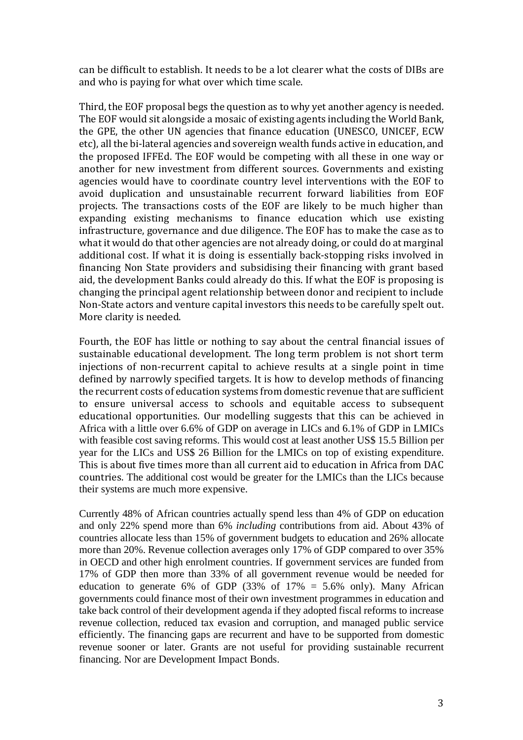can be difficult to establish. It needs to be a lot clearer what the costs of DIBs are and who is paying for what over which time scale.

Third, the EOF proposal begs the question as to why yet another agency is needed. The EOF would sit alongside a mosaic of existing agents including the World Bank, the GPE, the other UN agencies that finance education (UNESCO, UNICEF, ECW etc), all the bi-lateral agencies and sovereign wealth funds active in education, and the proposed IFFEd. The EOF would be competing with all these in one way or another for new investment from different sources. Governments and existing agencies would have to coordinate country level interventions with the EOF to avoid duplication and unsustainable recurrent forward liabilities from EOF projects. The transactions costs of the EOF are likely to be much higher than expanding existing mechanisms to finance education which use existing infrastructure, governance and due diligence. The EOF has to make the case as to what it would do that other agencies are not already doing, or could do at marginal additional cost. If what it is doing is essentially back-stopping risks involved in financing Non State providers and subsidising their financing with grant based aid, the development Banks could already do this. If what the EOF is proposing is changing the principal agent relationship between donor and recipient to include Non-State actors and venture capital investors this needs to be carefully spelt out. More clarity is needed.

Fourth, the EOF has little or nothing to say about the central financial issues of sustainable educational development. The long term problem is not short term injections of non-recurrent capital to achieve results at a single point in time defined by narrowly specified targets. It is how to develop methods of financing the recurrent costs of education systems from domestic revenue that are sufficient to ensure universal access to schools and equitable access to subsequent educational opportunities. Our modelling suggests that this can be achieved in Africa with a little over 6.6% of GDP on average in LICs and 6.1% of GDP in LMICs with feasible cost saving reforms. This would cost at least another US\$ 15.5 Billion per year for the LICs and US\$ 26 Billion for the LMICs on top of existing expenditure. This is about five times more than all current aid to education in Africa from DAC countries. The additional cost would be greater for the LMICs than the LICs because their systems are much more expensive.

Currently 48% of African countries actually spend less than 4% of GDP on education and only 22% spend more than 6% *including* contributions from aid. About 43% of countries allocate less than 15% of government budgets to education and 26% allocate more than 20%. Revenue collection averages only 17% of GDP compared to over 35% in OECD and other high enrolment countries. If government services are funded from 17% of GDP then more than 33% of all government revenue would be needed for education to generate 6% of GDP (33% of  $17\% = 5.6\%$  only). Many African governments could finance most of their own investment programmes in education and take back control of their development agenda if they adopted fiscal reforms to increase revenue collection, reduced tax evasion and corruption, and managed public service efficiently. The financing gaps are recurrent and have to be supported from domestic revenue sooner or later. Grants are not useful for providing sustainable recurrent financing. Nor are Development Impact Bonds.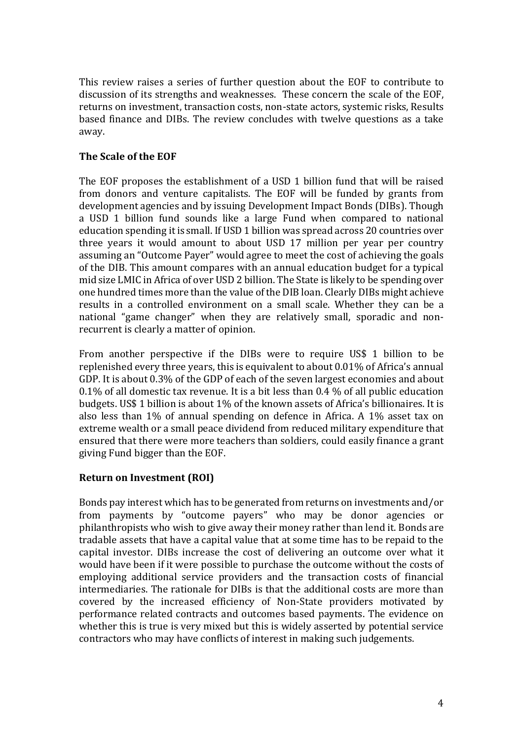This review raises a series of further question about the EOF to contribute to discussion of its strengths and weaknesses. These concern the scale of the EOF, returns on investment, transaction costs, non-state actors, systemic risks, Results based finance and DIBs. The review concludes with twelve questions as a take away.

## **The Scale of the EOF**

The EOF proposes the establishment of a USD 1 billion fund that will be raised from donors and venture capitalists. The EOF will be funded by grants from development agencies and by issuing Development Impact Bonds (DIBs). Though a USD 1 billion fund sounds like a large Fund when compared to national education spending it is small. If USD 1 billion was spread across 20 countries over three years it would amount to about USD 17 million per year per country assuming an "Outcome Payer" would agree to meet the cost of achieving the goals of the DIB. This amount compares with an annual education budget for a typical mid size LMIC in Africa of over USD 2 billion. The State is likely to be spending over one hundred times more than the value of the DIB loan. Clearly DIBs might achieve results in a controlled environment on a small scale. Whether they can be a national "game changer" when they are relatively small, sporadic and nonrecurrent is clearly a matter of opinion.

From another perspective if the DIBs were to require US\$ 1 billion to be replenished every three years, this is equivalent to about 0.01% of Africa's annual GDP. It is about 0.3% of the GDP of each of the seven largest economies and about 0.1% of all domestic tax revenue. It is a bit less than 0.4 % of all public education budgets. US\$ 1 billion is about 1% of the known assets of Africa's billionaires. It is also less than 1% of annual spending on defence in Africa. A 1% asset tax on extreme wealth or a small peace dividend from reduced military expenditure that ensured that there were more teachers than soldiers, could easily finance a grant giving Fund bigger than the EOF.

## **Return on Investment (ROI)**

Bonds pay interest which has to be generated from returns on investments and/or from payments by "outcome payers" who may be donor agencies or philanthropists who wish to give away their money rather than lend it. Bonds are tradable assets that have a capital value that at some time has to be repaid to the capital investor. DIBs increase the cost of delivering an outcome over what it would have been if it were possible to purchase the outcome without the costs of employing additional service providers and the transaction costs of financial intermediaries. The rationale for DIBs is that the additional costs are more than covered by the increased efficiency of Non-State providers motivated by performance related contracts and outcomes based payments. The evidence on whether this is true is very mixed but this is widely asserted by potential service contractors who may have conflicts of interest in making such judgements.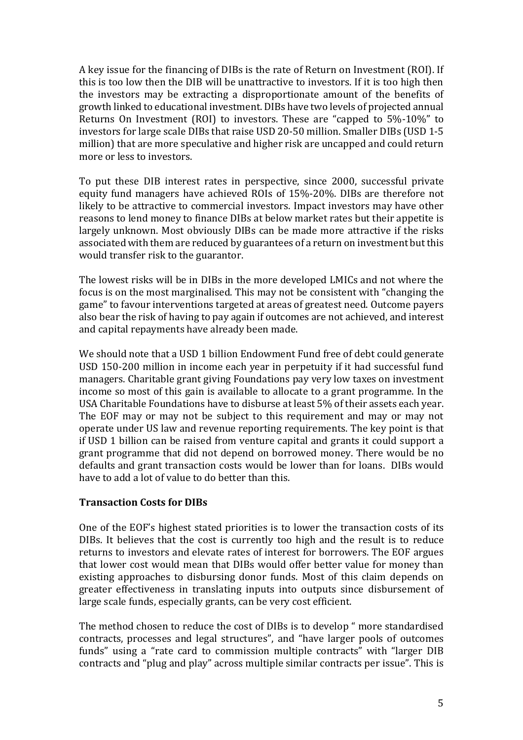A key issue for the financing of DIBs is the rate of Return on Investment (ROI). If this is too low then the DIB will be unattractive to investors. If it is too high then the investors may be extracting a disproportionate amount of the benefits of growth linked to educational investment. DIBs have two levels of projected annual Returns On Investment (ROI) to investors. These are "capped to 5%-10%" to investors for large scale DIBs that raise USD 20-50 million. Smaller DIBs (USD 1-5 million) that are more speculative and higher risk are uncapped and could return more or less to investors.

To put these DIB interest rates in perspective, since 2000, successful private equity fund managers have achieved ROIs of 15%-20%. DIBs are therefore not likely to be attractive to commercial investors. Impact investors may have other reasons to lend money to finance DIBs at below market rates but their appetite is largely unknown. Most obviously DIBs can be made more attractive if the risks associated with them are reduced by guarantees of a return on investment but this would transfer risk to the guarantor.

The lowest risks will be in DIBs in the more developed LMICs and not where the focus is on the most marginalised. This may not be consistent with "changing the game" to favour interventions targeted at areas of greatest need. Outcome payers also bear the risk of having to pay again if outcomes are not achieved, and interest and capital repayments have already been made.

We should note that a USD 1 billion Endowment Fund free of debt could generate USD 150-200 million in income each year in perpetuity if it had successful fund managers. Charitable grant giving Foundations pay very low taxes on investment income so most of this gain is available to allocate to a grant programme. In the USA Charitable Foundations have to disburse at least 5% of their assets each year. The EOF may or may not be subject to this requirement and may or may not operate under US law and revenue reporting requirements. The key point is that if USD 1 billion can be raised from venture capital and grants it could support a grant programme that did not depend on borrowed money. There would be no defaults and grant transaction costs would be lower than for loans. DIBs would have to add a lot of value to do better than this.

### **Transaction Costs for DIBs**

One of the EOF's highest stated priorities is to lower the transaction costs of its DIBs. It believes that the cost is currently too high and the result is to reduce returns to investors and elevate rates of interest for borrowers. The EOF argues that lower cost would mean that DIBs would offer better value for money than existing approaches to disbursing donor funds. Most of this claim depends on greater effectiveness in translating inputs into outputs since disbursement of large scale funds, especially grants, can be very cost efficient.

The method chosen to reduce the cost of DIBs is to develop " more standardised contracts, processes and legal structures", and "have larger pools of outcomes funds" using a "rate card to commission multiple contracts" with "larger DIB contracts and "plug and play" across multiple similar contracts per issue". This is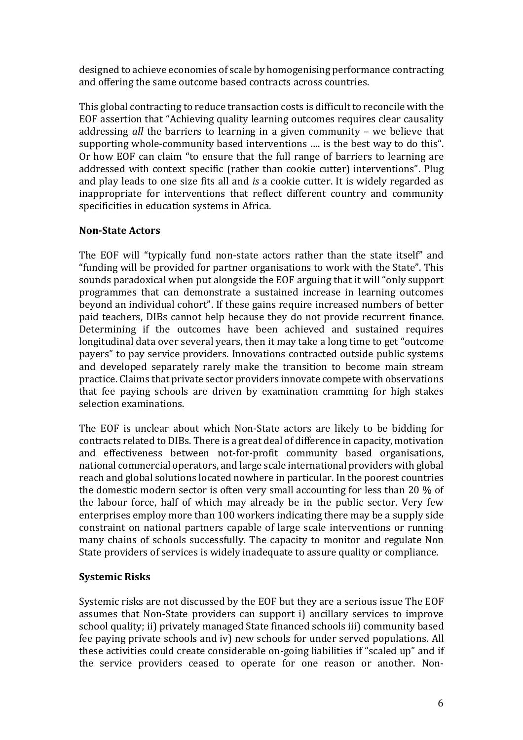designed to achieve economies of scale by homogenising performance contracting and offering the same outcome based contracts across countries.

This global contracting to reduce transaction costs is difficult to reconcile with the EOF assertion that "Achieving quality learning outcomes requires clear causality addressing *all* the barriers to learning in a given community – we believe that supporting whole-community based interventions …. is the best way to do this". Or how EOF can claim "to ensure that the full range of barriers to learning are addressed with context specific (rather than cookie cutter) interventions". Plug and play leads to one size fits all and *is* a cookie cutter. It is widely regarded as inappropriate for interventions that reflect different country and community specificities in education systems in Africa.

## **Non-State Actors**

The EOF will "typically fund non-state actors rather than the state itself" and "funding will be provided for partner organisations to work with the State". This sounds paradoxical when put alongside the EOF arguing that it will "only support programmes that can demonstrate a sustained increase in learning outcomes beyond an individual cohort". If these gains require increased numbers of better paid teachers, DIBs cannot help because they do not provide recurrent finance. Determining if the outcomes have been achieved and sustained requires longitudinal data over several years, then it may take a long time to get "outcome payers" to pay service providers. Innovations contracted outside public systems and developed separately rarely make the transition to become main stream practice. Claims that private sector providers innovate compete with observations that fee paying schools are driven by examination cramming for high stakes selection examinations.

The EOF is unclear about which Non-State actors are likely to be bidding for contracts related to DIBs. There is a great deal of difference in capacity, motivation and effectiveness between not-for-profit community based organisations, national commercial operators, and large scale international providers with global reach and global solutions located nowhere in particular. In the poorest countries the domestic modern sector is often very small accounting for less than 20 % of the labour force, half of which may already be in the public sector. Very few enterprises employ more than 100 workers indicating there may be a supply side constraint on national partners capable of large scale interventions or running many chains of schools successfully. The capacity to monitor and regulate Non State providers of services is widely inadequate to assure quality or compliance.

### **Systemic Risks**

Systemic risks are not discussed by the EOF but they are a serious issue The EOF assumes that Non-State providers can support i) ancillary services to improve school quality; ii) privately managed State financed schools iii) community based fee paying private schools and iv) new schools for under served populations. All these activities could create considerable on-going liabilities if "scaled up" and if the service providers ceased to operate for one reason or another. Non-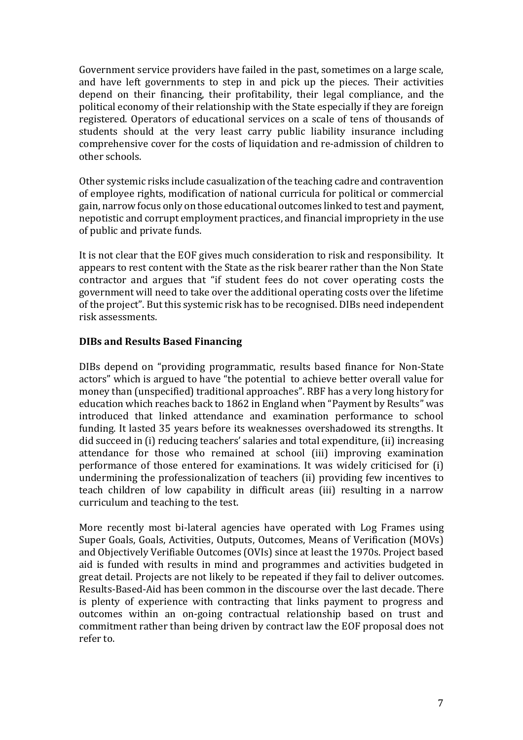Government service providers have failed in the past, sometimes on a large scale, and have left governments to step in and pick up the pieces. Their activities depend on their financing, their profitability, their legal compliance, and the political economy of their relationship with the State especially if they are foreign registered. Operators of educational services on a scale of tens of thousands of students should at the very least carry public liability insurance including comprehensive cover for the costs of liquidation and re-admission of children to other schools.

Other systemic risks include casualization of the teaching cadre and contravention of employee rights, modification of national curricula for political or commercial gain, narrow focus only on those educational outcomes linked to test and payment, nepotistic and corrupt employment practices, and financial impropriety in the use of public and private funds.

It is not clear that the EOF gives much consideration to risk and responsibility. It appears to rest content with the State as the risk bearer rather than the Non State contractor and argues that "if student fees do not cover operating costs the government will need to take over the additional operating costs over the lifetime of the project". But this systemic risk has to be recognised. DIBs need independent risk assessments.

## **DIBs and Results Based Financing**

DIBs depend on "providing programmatic, results based finance for Non-State actors" which is argued to have "the potential to achieve better overall value for money than (unspecified) traditional approaches". RBF has a very long history for education which reaches back to 1862 in England when "Payment by Results" was introduced that linked attendance and examination performance to school funding. It lasted 35 years before its weaknesses overshadowed its strengths. It did succeed in (i) reducing teachers' salaries and total expenditure, (ii) increasing attendance for those who remained at school (iii) improving examination performance of those entered for examinations. It was widely criticised for (i) undermining the professionalization of teachers (ii) providing few incentives to teach children of low capability in difficult areas (iii) resulting in a narrow curriculum and teaching to the test.

More recently most bi-lateral agencies have operated with Log Frames using Super Goals, Goals, Activities, Outputs, Outcomes, Means of Verification (MOVs) and Objectively Verifiable Outcomes (OVIs) since at least the 1970s. Project based aid is funded with results in mind and programmes and activities budgeted in great detail. Projects are not likely to be repeated if they fail to deliver outcomes. Results-Based-Aid has been common in the discourse over the last decade. There is plenty of experience with contracting that links payment to progress and outcomes within an on-going contractual relationship based on trust and commitment rather than being driven by contract law the EOF proposal does not refer to.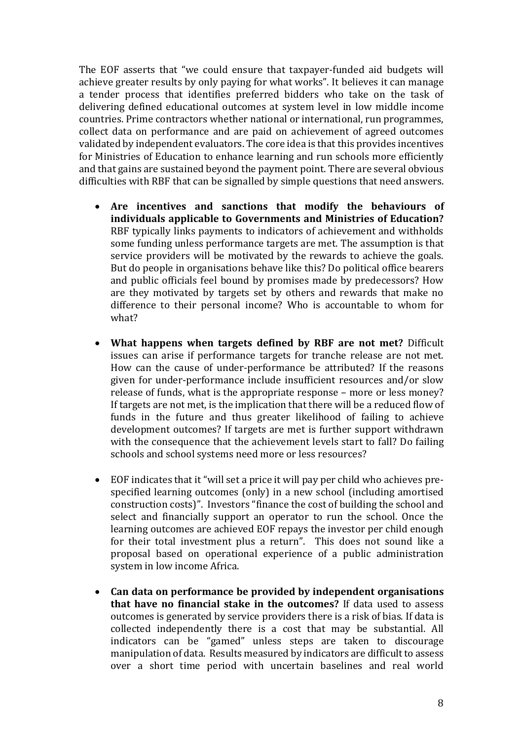The EOF asserts that "we could ensure that taxpayer-funded aid budgets will achieve greater results by only paying for what works". It believes it can manage a tender process that identifies preferred bidders who take on the task of delivering defined educational outcomes at system level in low middle income countries. Prime contractors whether national or international, run programmes, collect data on performance and are paid on achievement of agreed outcomes validated by independent evaluators. The core idea is that this provides incentives for Ministries of Education to enhance learning and run schools more efficiently and that gains are sustained beyond the payment point. There are several obvious difficulties with RBF that can be signalled by simple questions that need answers.

- **Are incentives and sanctions that modify the behaviours of individuals applicable to Governments and Ministries of Education?**  RBF typically links payments to indicators of achievement and withholds some funding unless performance targets are met. The assumption is that service providers will be motivated by the rewards to achieve the goals. But do people in organisations behave like this? Do political office bearers and public officials feel bound by promises made by predecessors? How are they motivated by targets set by others and rewards that make no difference to their personal income? Who is accountable to whom for what?
- **What happens when targets defined by RBF are not met?** Difficult issues can arise if performance targets for tranche release are not met. How can the cause of under-performance be attributed? If the reasons given for under-performance include insufficient resources and/or slow release of funds, what is the appropriate response – more or less money? If targets are not met, is the implication that there will be a reduced flow of funds in the future and thus greater likelihood of failing to achieve development outcomes? If targets are met is further support withdrawn with the consequence that the achievement levels start to fall? Do failing schools and school systems need more or less resources?
- EOF indicates that it "will set a price it will pay per child who achieves prespecified learning outcomes (only) in a new school (including amortised construction costs)". Investors "finance the cost of building the school and select and financially support an operator to run the school. Once the learning outcomes are achieved EOF repays the investor per child enough for their total investment plus a return". This does not sound like a proposal based on operational experience of a public administration system in low income Africa.
- **Can data on performance be provided by independent organisations that have no financial stake in the outcomes?** If data used to assess outcomes is generated by service providers there is a risk of bias. If data is collected independently there is a cost that may be substantial. All indicators can be "gamed" unless steps are taken to discourage manipulation of data. Results measured by indicators are difficult to assess over a short time period with uncertain baselines and real world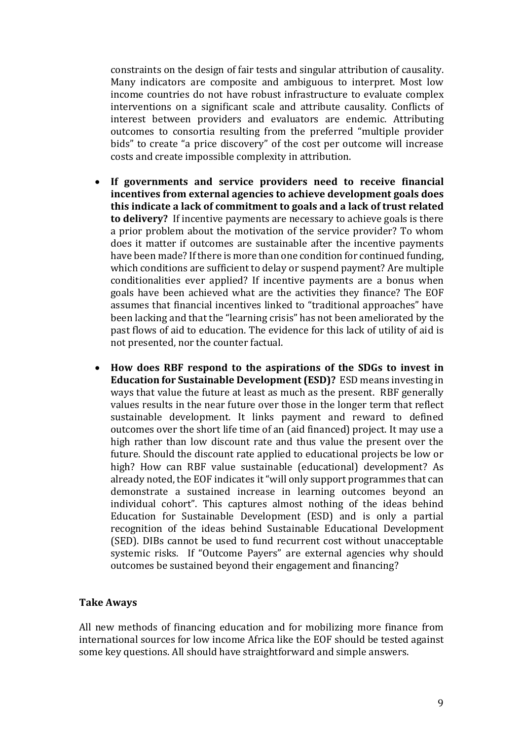constraints on the design of fair tests and singular attribution of causality. Many indicators are composite and ambiguous to interpret. Most low income countries do not have robust infrastructure to evaluate complex interventions on a significant scale and attribute causality. Conflicts of interest between providers and evaluators are endemic. Attributing outcomes to consortia resulting from the preferred "multiple provider bids" to create "a price discovery" of the cost per outcome will increase costs and create impossible complexity in attribution.

- **If governments and service providers need to receive financial incentives from external agencies to achieve development goals does this indicate a lack of commitment to goals and a lack of trust related to delivery?** If incentive payments are necessary to achieve goals is there a prior problem about the motivation of the service provider? To whom does it matter if outcomes are sustainable after the incentive payments have been made? If there is more than one condition for continued funding, which conditions are sufficient to delay or suspend payment? Are multiple conditionalities ever applied? If incentive payments are a bonus when goals have been achieved what are the activities they finance? The EOF assumes that financial incentives linked to "traditional approaches" have been lacking and that the "learning crisis" has not been ameliorated by the past flows of aid to education. The evidence for this lack of utility of aid is not presented, nor the counter factual.
- **How does RBF respond to the aspirations of the SDGs to invest in Education for Sustainable Development (ESD)?** ESD means investing in ways that value the future at least as much as the present. RBF generally values results in the near future over those in the longer term that reflect sustainable development. It links payment and reward to defined outcomes over the short life time of an (aid financed) project. It may use a high rather than low discount rate and thus value the present over the future. Should the discount rate applied to educational projects be low or high? How can RBF value sustainable (educational) development? As already noted, the EOF indicates it "will only support programmes that can demonstrate a sustained increase in learning outcomes beyond an individual cohort". This captures almost nothing of the ideas behind Education for Sustainable Development (ESD) and is only a partial recognition of the ideas behind Sustainable Educational Development (SED). DIBs cannot be used to fund recurrent cost without unacceptable systemic risks. If "Outcome Payers" are external agencies why should outcomes be sustained beyond their engagement and financing?

#### **Take Aways**

All new methods of financing education and for mobilizing more finance from international sources for low income Africa like the EOF should be tested against some key questions. All should have straightforward and simple answers.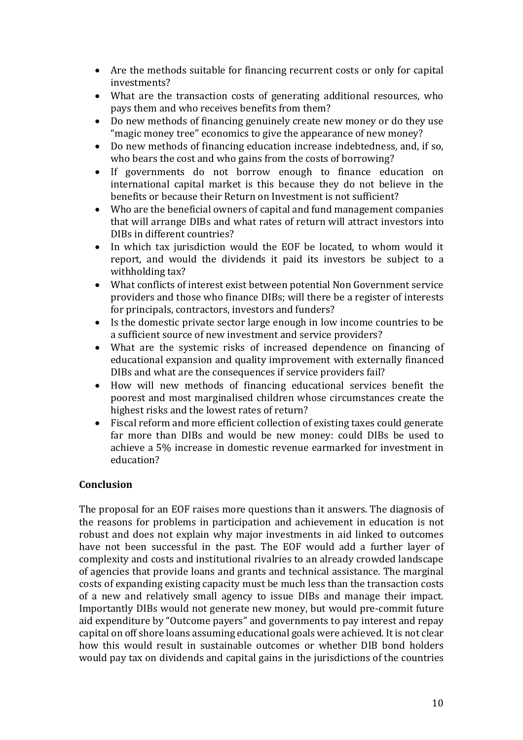- Are the methods suitable for financing recurrent costs or only for capital investments?
- What are the transaction costs of generating additional resources, who pays them and who receives benefits from them?
- Do new methods of financing genuinely create new money or do they use "magic money tree" economics to give the appearance of new money?
- Do new methods of financing education increase indebtedness, and, if so, who bears the cost and who gains from the costs of borrowing?
- If governments do not borrow enough to finance education on international capital market is this because they do not believe in the benefits or because their Return on Investment is not sufficient?
- Who are the beneficial owners of capital and fund management companies that will arrange DIBs and what rates of return will attract investors into DIBs in different countries?
- In which tax jurisdiction would the EOF be located, to whom would it report, and would the dividends it paid its investors be subject to a withholding tax?
- What conflicts of interest exist between potential Non Government service providers and those who finance DIBs; will there be a register of interests for principals, contractors, investors and funders?
- Is the domestic private sector large enough in low income countries to be a sufficient source of new investment and service providers?
- What are the systemic risks of increased dependence on financing of educational expansion and quality improvement with externally financed DIBs and what are the consequences if service providers fail?
- How will new methods of financing educational services benefit the poorest and most marginalised children whose circumstances create the highest risks and the lowest rates of return?
- Fiscal reform and more efficient collection of existing taxes could generate far more than DIBs and would be new money: could DIBs be used to achieve a 5% increase in domestic revenue earmarked for investment in education?

## **Conclusion**

The proposal for an EOF raises more questions than it answers. The diagnosis of the reasons for problems in participation and achievement in education is not robust and does not explain why major investments in aid linked to outcomes have not been successful in the past. The EOF would add a further layer of complexity and costs and institutional rivalries to an already crowded landscape of agencies that provide loans and grants and technical assistance. The marginal costs of expanding existing capacity must be much less than the transaction costs of a new and relatively small agency to issue DIBs and manage their impact. Importantly DIBs would not generate new money, but would pre-commit future aid expenditure by "Outcome payers" and governments to pay interest and repay capital on off shore loans assuming educational goals were achieved. It is not clear how this would result in sustainable outcomes or whether DIB bond holders would pay tax on dividends and capital gains in the jurisdictions of the countries